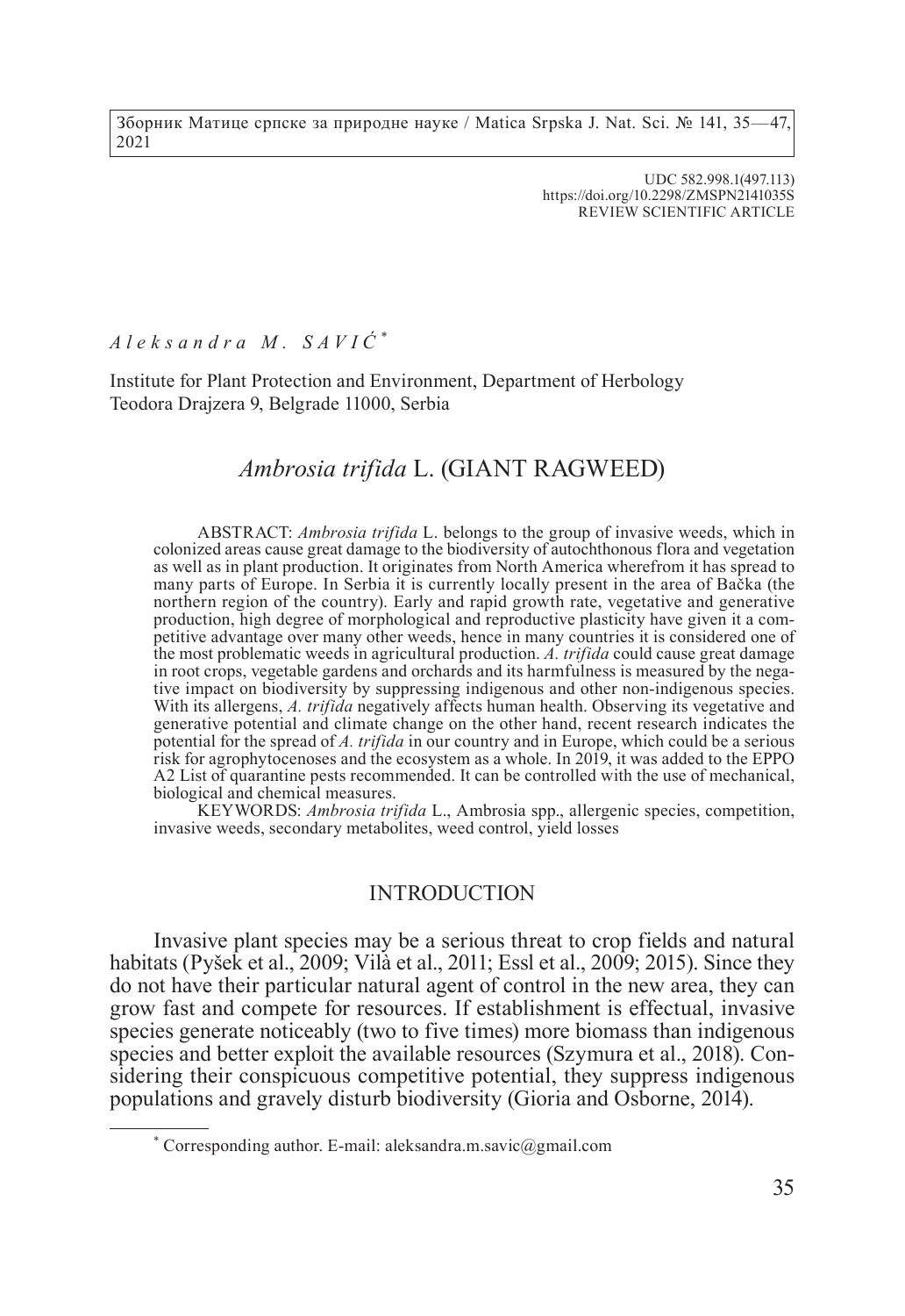Зборник Матице српске за природне науке / Matica Srpska J. Nat. Sci. № 141, 35—47, 2021

> UDC 582.998.1(497.113) https://doi.org/10.2298/ZMSPN2141035S REVIEW SCIENTIFIC ARTICLE

*Aleksandra M. SAVIĆ \**

Institute for Plant Protection and Environment, Department of Herbology Teodora Drajzera 9, Belgrade 11000, Serbia

# *Ambrosia trifida* L. (GIANT RAGWEED)

ABSTRACT: *Ambrosia trifida* L. belongs to the group of invasive weeds, which in colonized areas cause great damage to the biodiversity of autochthonous flora and vegetation as well as in plant production. It originates from North America wherefrom it has spread to many parts of Europe. In Serbia it is currently locally present in the area of Bačka (the northern region of the country). Early and rapid growth rate, vegetative and generative production, high degree of morphological and reproductive plasticity have given it a competitive advantage over many other weeds, hence in many countries it is considered one of the most problematic weeds in agricultural production. *A. trifida* could cause great damage tive impact on biodiversity by suppressing indigenous and other non-indigenous species. With its allergens, *A. trifida* negatively affects human health. Observing its vegetative and generative potential and climate change on the other hand, recent research indicates the potential for the spread of *A. trifida* in our country and in Europe, which could be a serious risk for agrophytocenoses and the ecosystem as a whole. In 2019, it was added to the EPPO A2 List of quarantine pests recommended. It can be controlled with the use of mechanical, biological and chemical measures.

KEYWORDS: *Ambrosia trifida* L., Ambrosia spp., allergenic species, competition, invasive weeds, secondary metabolites, weed control, yield losses

#### INTRODUCTION

Invasive plant species may be a serious threat to crop fields and natural habitats (Pyšek et al., 2009; Vilà et al., 2011; Essl et al., 2009; 2015). Since they do not have their particular natural agent of control in the new area, they can grow fast and compete for resources. If establishment is effectual, invasive species generate noticeably (two to five times) more biomass than indigenous species and better exploit the available resources (Szymura et al., 2018). Considering their conspicuous competitive potential, they suppress indigenous populations and gravely disturb biodiversity (Gioria and Osborne, 2014).

<sup>\*</sup> Corresponding author. E-mail: aleksandra.m.savic@gmail.com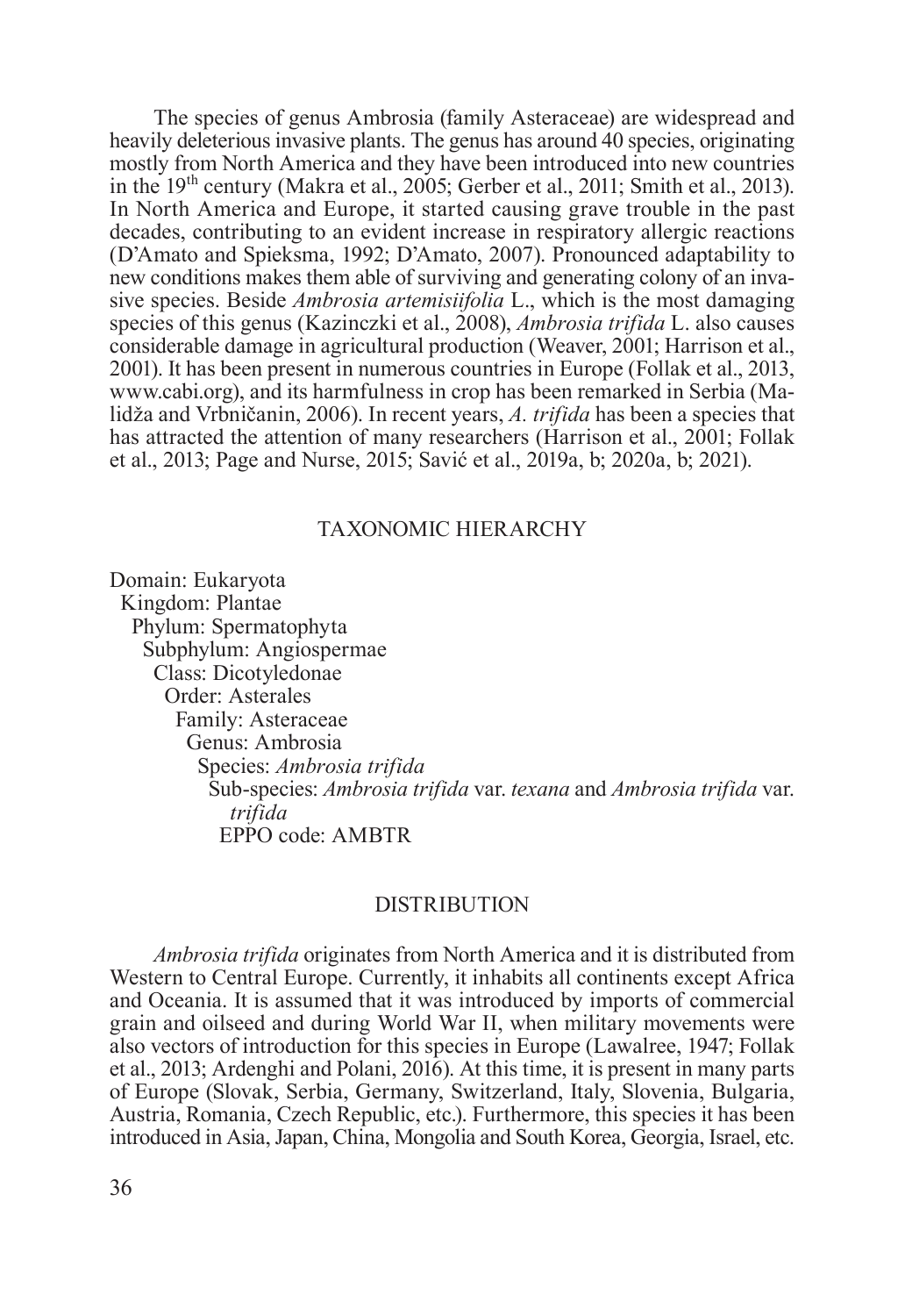The species of genus Ambrosia (family Asteraceae) are widespread and heavily deleterious invasive plants. The genus has around 40 species, originating mostly from North America and they have been introduced into new countries in the 19th century (Makra et al., 2005; Gerber et al., 2011; Smith et al., 2013). In North America and Europe, it started causing grave trouble in the past decades, contributing to an evident increase in respiratory allergic reactions (D'Amato and Spieksma, 1992; D'Amato, 2007). Pronounced adaptability to new conditions makes them able of surviving and generating colony of an invasive species. Beside *Ambrosia artemisiifolia* L., which is the most damaging species of this genus (Kazinczki et al., 2008), *Ambrosia trifida* L. also causes considerable damage in agricultural production (Weaver, 2001; Harrison et al., 2001). It has been present in numerous countries in Europe (Follak et al., 2013, www.cabi.org), and its harmfulness in crop has been remarked in Serbia (Malidža and Vrbničanin, 2006). In recent years, *A. trifida* has been a species that has attracted the attention of many researchers (Harrison et al., 2001; Follak et al., 2013; Page and Nurse, 2015; Savić et al., 2019a, b; 2020a, b; 2021).

## TAXONOMIC HIERARCHY

Domain: Eukaryota Kingdom: Plantae Phylum: Spermatophyta Subphylum: Angiospermae Class: Dicotyledonae Order: Asterales Family: Asteraceae Genus: Ambrosia Species: *Ambrosia trifida* Sub-species: *Ambrosia trifida* var. *texana* and *Ambrosia trifida* var. *trifida* EPPO code: AMBTR

### **DISTRIBUTION**

*Ambrosia trifida* originates from North America and it is distributed from Western to Central Europe. Currently, it inhabits all continents except Africa and Oceania. It is assumed that it was introduced by imports of commercial grain and oilseed and during World War II, when military movements were also vectors of introduction for this species in Europe (Lawalree, 1947; Follak et al., 2013; Ardenghi and Polani, 2016). At this time, it is present in many parts of Europe (Slovak, Serbia, Germany, Switzerland, Italy, Slovenia, Bulgaria, Austria, Romania, Czech Republic, etc.). Furthermore, this species it has been introduced in Asia, Japan, China, Mongolia and South Korea, Georgia, Israel, etc.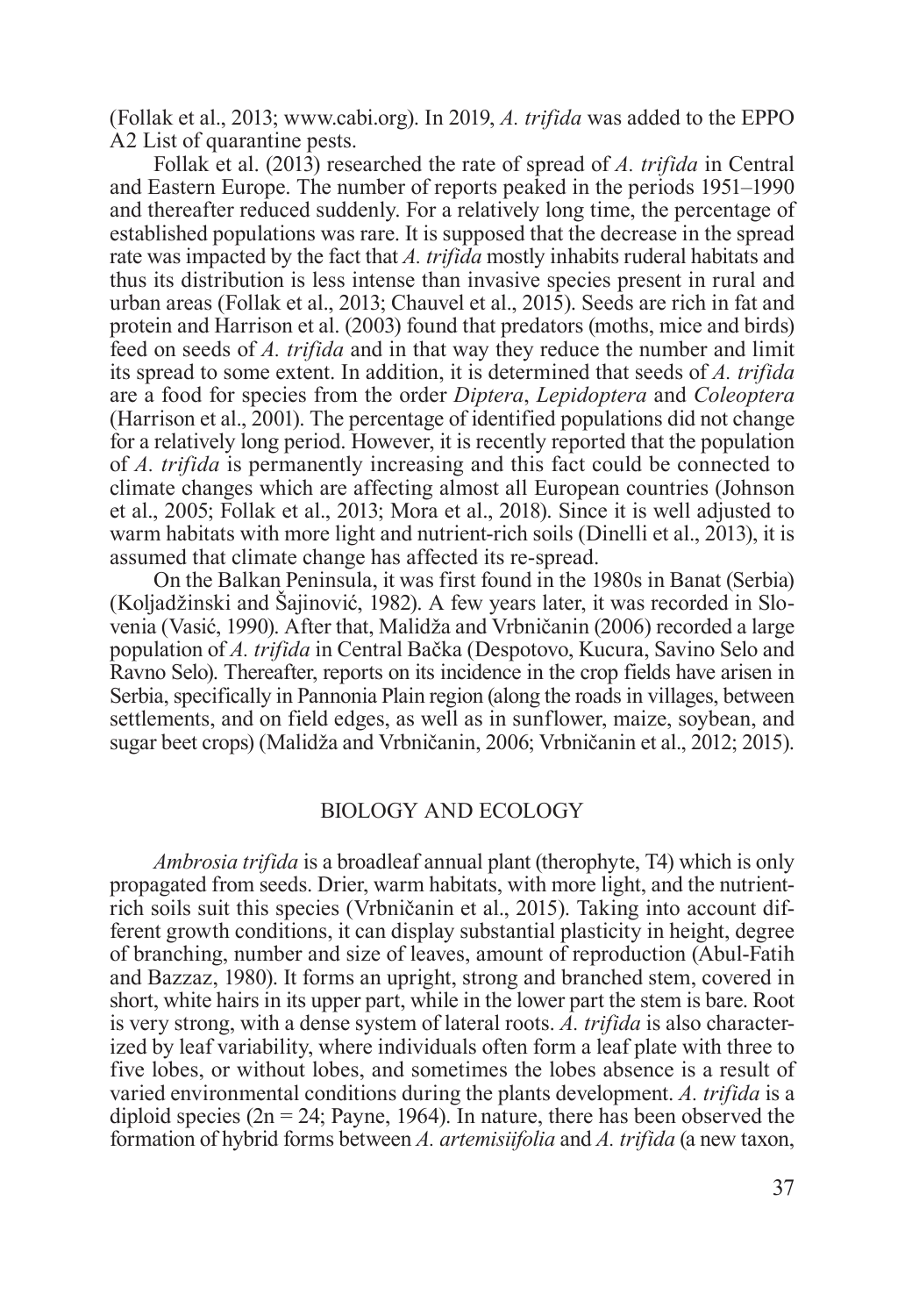(Follak et al., 2013; www.cabi.org). In 2019, *A. trifida* was added to the EPPO A2 List of quarantine pests.

Follak et al. (2013) researched the rate of spread of *A. trifida* in Central and Eastern Europe. The number of reports peaked in the periods 1951–1990 and thereafter reduced suddenly. For a relatively long time, the percentage of established populations was rare. It is supposed that the decrease in the spread rate was impacted by the fact that *A. trifida* mostly inhabits ruderal habitats and thus its distribution is less intense than invasive species present in rural and urban areas (Follak et al., 2013; Chauvel et al., 2015). Seeds are rich in fat and protein and Harrison et al. (2003) found that predators (moths, mice and birds) feed on seeds of *A. trifida* and in that way they reduce the number and limit its spread to some extent. In addition, it is determined that seeds of *A. trifida* are a food for species from the order *Diptera*, *Lepidoptera* and *Coleoptera* (Harrison et al., 2001). The percentage of identified populations did not change for a relatively long period. However, it is recently reported that the population of *A. trifida* is permanently increasing and this fact could be connected to climate changes which are affecting almost all European countries (Johnson et al., 2005; Follak et al., 2013; Mora et al., 2018). Since it is well adjusted to warm habitats with more light and nutrient-rich soils (Dinelli et al., 2013), it is assumed that climate change has affected its re-spread.

On the Balkan Peninsula, it was first found in the 1980s in Banat (Serbia) (Koljadžinski and Šajinović, 1982). A few years later, it was recorded in Slovenia (Vasić, 1990). After that, Malidža and Vrbničanin (2006) recorded a large population of *A. trifida* in Central Bačka (Despotovo, Kucura, Savino Selo and Ravno Selo). Thereafter, reports on its incidence in the crop fields have arisen in Serbia, specifically in Pannonia Plain region (along the roads in villages, between settlements, and on field edges, as well as in sunflower, maize, soybean, and sugar beet crops) (Malidža and Vrbničanin, 2006; Vrbničanin et al., 2012; 2015).

#### BIOLOGY AND ECOLOGY

*Ambrosia trifida* is a broadleaf annual plant (therophyte, T4) which is only propagated from seeds. Drier, warm habitats, with more light, and the nutrientrich soils suit this species (Vrbničanin et al., 2015). Taking into account different growth conditions, it can display substantial plasticity in height, degree of branching, number and size of leaves, amount of reproduction (Abul-Fatih and Bazzaz, 1980). It forms an upright, strong and branched stem, covered in short, white hairs in its upper part, while in the lower part the stem is bare. Root is very strong, with a dense system of lateral roots. *A. trifida* is also characterized by leaf variability, where individuals often form a leaf plate with three to five lobes, or without lobes, and sometimes the lobes absence is a result of varied environmental conditions during the plants development. *A. trifida* is a diploid species ( $2n = 24$ ; Payne, 1964). In nature, there has been observed the formation of hybrid forms between *A. artemisiifolia* and *A. trifida* (a new taxon,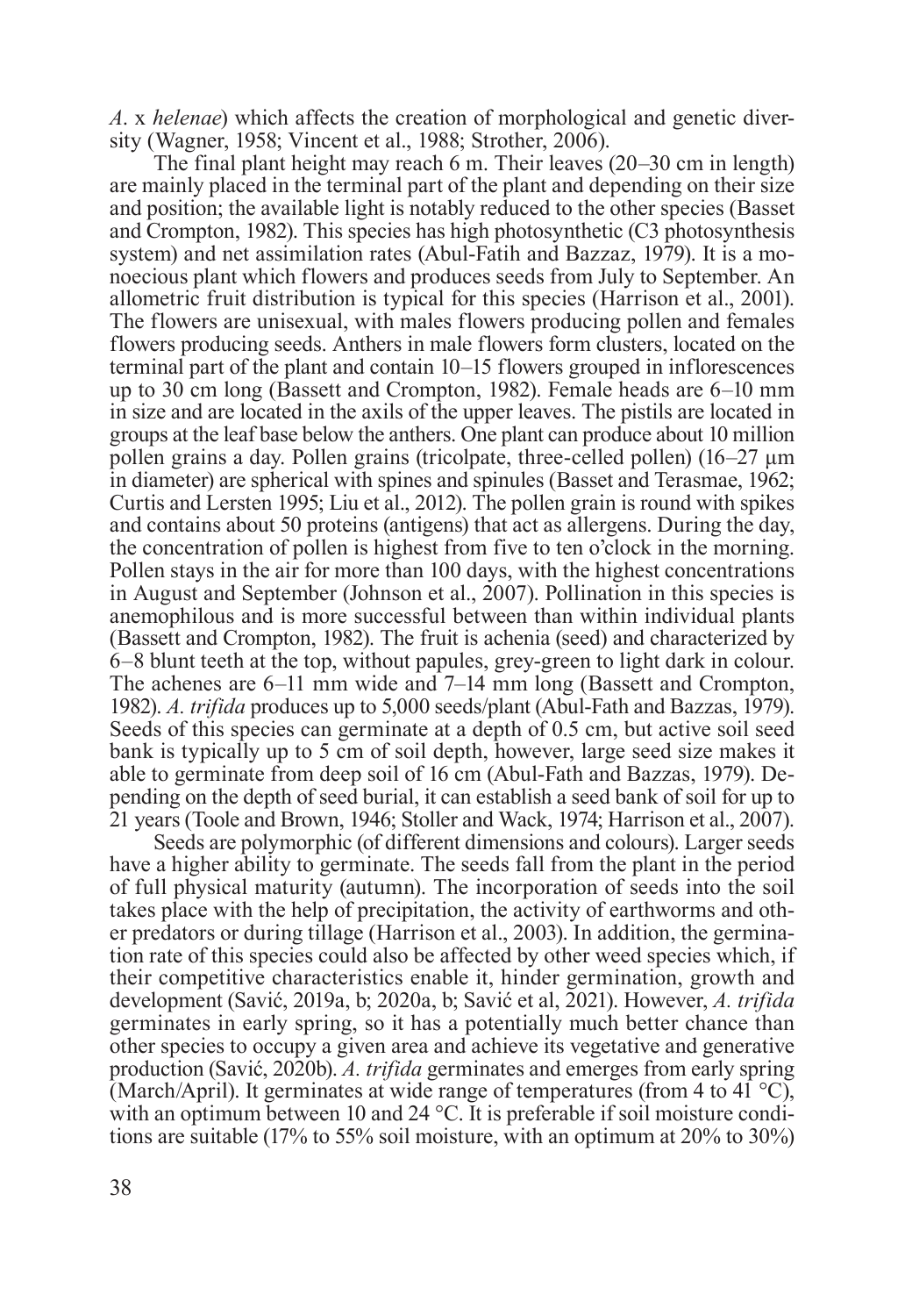*A*. x *helenae*) which affects the creation of morphological and genetic diversity (Wagner, 1958; Vincent et al., 1988; Strother, 2006).

The final plant height may reach 6 m. Their leaves (20–30 cm in length) are mainly placed in the terminal part of the plant and depending on their size and position; the available light is notably reduced to the other species (Basset and Crompton, 1982). This species has high photosynthetic (C3 photosynthesis system) and net assimilation rates (Abul-Fatih and Bazzaz, 1979). It is a monoecious plant which flowers and produces seeds from July to September. An allometric fruit distribution is typical for this species (Harrison et al., 2001). The flowers are unisexual, with males flowers producing pollen and females flowers producing seeds. Anthers in male flowers form clusters, located on the terminal part of the plant and contain 10–15 flowers grouped in inflorescences up to 30 cm long (Bassett and Crompton, 1982). Female heads are 6–10 mm in size and are located in the axils of the upper leaves. The pistils are located in groups at the leaf base below the anthers. One plant can produce about 10 million pollen grains a day. Pollen grains (tricolpate, three-celled pollen) (16–27 μm in diameter) are spherical with spines and spinules (Basset and Terasmae, 1962; Curtis and Lersten 1995; Liu et al., 2012). The pollen grain is round with spikes and contains about 50 proteins (antigens) that act as allergens. During the day, the concentration of pollen is highest from five to ten o'clock in the morning. Pollen stays in the air for more than 100 days, with the highest concentrations in August and September (Johnson et al., 2007). Pollination in this species is anemophilous and is more successful between than within individual plants (Bassett and Crompton, 1982). The fruit is achenia (seed) and characterized by 6–8 blunt teeth at the top, without papules, grey-green to light dark in colour. The achenes are 6–11 mm wide and 7–14 mm long (Bassett and Crompton, 1982). *A. trifida* produces up to 5,000 seeds/plant (Abul-Fath and Bazzas, 1979). Seeds of this species can germinate at a depth of 0.5 cm, but active soil seed bank is typically up to 5 cm of soil depth, however, large seed size makes it able to germinate from deep soil of 16 cm (Abul-Fath and Bazzas, 1979). Depending on the depth of seed burial, it can establish a seed bank of soil for up to 21 years (Toole and Brown, 1946; Stoller and Wack, 1974; Harrison et al., 2007).

Seeds are polymorphic (of different dimensions and colours). Larger seeds have a higher ability to germinate. The seeds fall from the plant in the period of full physical maturity (autumn). The incorporation of seeds into the soil takes place with the help of precipitation, the activity of earthworms and other predators or during tillage (Harrison et al., 2003). In addition, the germination rate of this species could also be affected by other weed species which, if their competitive characteristics enable it, hinder germination, growth and development (Savić, 2019a, b; 2020a, b; Savić et al, 2021). However, *A. trifida* germinates in early spring, so it has a potentially much better chance than other species to occupy a given area and achieve its vegetative and generative production (Savić, 2020b). *A. trifida* germinates and emerges from early spring (March/April). It germinates at wide range of temperatures (from 4 to 41 $^{\circ}$ C), with an optimum between 10 and 24 °C. It is preferable if soil moisture conditions are suitable (17% to 55% soil moisture, with an optimum at 20% to 30%)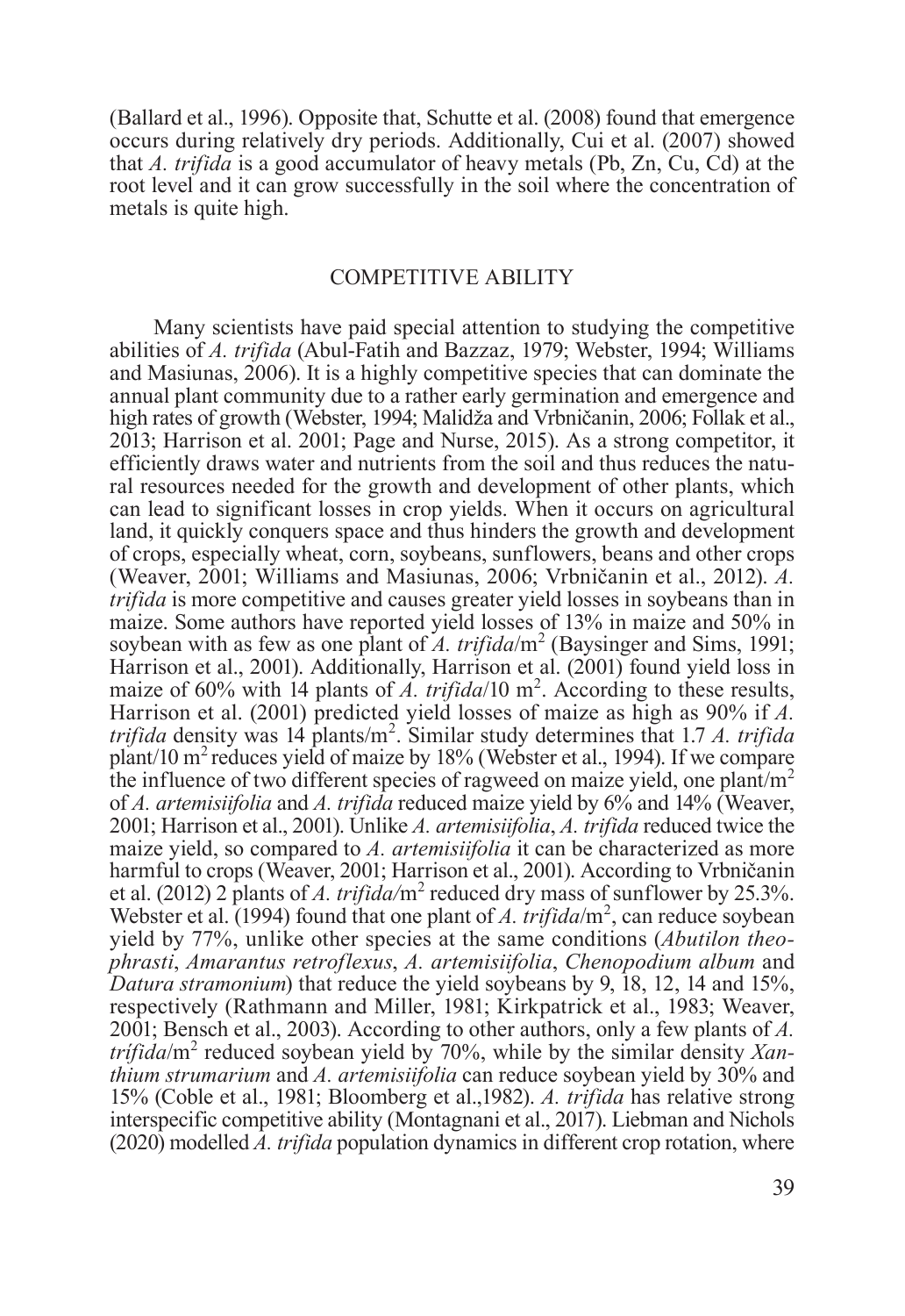(Ballard et al., 1996). Opposite that, Schutte et al. (2008) found that emergence occurs during relatively dry periods. Additionally, Cui et al. (2007) showed that *A. trifida* is a good accumulator of heavy metals (Pb, Zn, Cu, Cd) at the root level and it can grow successfully in the soil where the concentration of metals is quite high.

#### COMPETITIVE ABILITY

Many scientists have paid special attention to studying the competitive abilities of *A. trifida* (Abul-Fatih and Bazzaz, 1979; Webster, 1994; Williams and Masiunas, 2006). It is a highly competitive species that can dominate the annual plant community due to a rather early germination and emergence and high rates of growth (Webster, 1994; Malidža and Vrbničanin, 2006; Follak et al., 2013; Harrison et al. 2001; Page and Nurse, 2015). As a strong competitor, it efficiently draws water and nutrients from the soil and thus reduces the natural resources needed for the growth and development of other plants, which can lead to significant losses in crop yields. When it occurs on agricultural land, it quickly conquers space and thus hinders the growth and development of crops, especially wheat, corn, soybeans, sunflowers, beans and other crops (Weaver, 2001; Williams and Masiunas, 2006; Vrbničanin et al., 2012). *A. trifida* is more competitive and causes greater yield losses in soybeans than in maize. Some authors have reported yield losses of 13% in maize and 50% in soybean with as few as one plant of  $\tilde{A}$ . trifida/m<sup>2</sup> (Baysinger and Sims, 1991; Harrison et al., 2001). Additionally, Harrison et al. (2001) found yield loss in maize of 60% with 14 plants of  $\vec{A}$ . trifida/10 m<sup>2</sup>. According to these results, Harrison et al. (2001) predicted yield losses of maize as high as 90% if *A. trifida* density was 14 plants/m<sup>2</sup> . Similar study determines that 1.7 *A. trifida* plant/10  $\text{m}^2$  reduces yield of maize by 18% (Webster et al., 1994). If we compare the influence of two different species of ragweed on maize yield, one plant/ $m<sup>2</sup>$ of *A. artemisiifolia* and *A. trifida* reduced maize yield by 6% and 14% (Weaver, 2001; Harrison et al., 2001). Unlike *A. artemisiifolia*, *A. trifida* reduced twice the maize yield, so compared to *A. artemisiifolia* it can be characterized as more harmful to crops (Weaver, 2001; Harrison et al., 2001). According to Vrbničanin et al. (2012) 2 plants of *A. trifida*/m<sup>2</sup> reduced dry mass of sunflower by 25.3%. Webster et al. (1994) found that one plant of A. trifida/m<sup>2</sup>, can reduce soybean yield by 77%, unlike other species at the same conditions (*Abutilon theophrasti*, *Amarantus retroflexus*, *A. artemisiifolia*, *Chenopodium album* and *Datura stramonium*) that reduce the yield soybeans by 9, 18, 12, 14 and 15%, respectively (Rathmann and Miller, 1981; Kirkpatrick et al., 1983; Weaver, 2001; Bensch et al., 2003). According to other authors, only a few plants of *A. trífida*/m<sup>2</sup> reduced soybean yield by 70%, while by the similar density *Xanthium strumarium* and *A. artemisiifolia* can reduce soybean yield by 30% and 15% (Coble et al., 1981; Bloomberg et al.,1982). *A. trifida* has relative strong interspecific competitive ability (Montagnani et al., 2017). Liebman and Nichols (2020) modelled *A. trifida* population dynamics in different crop rotation, where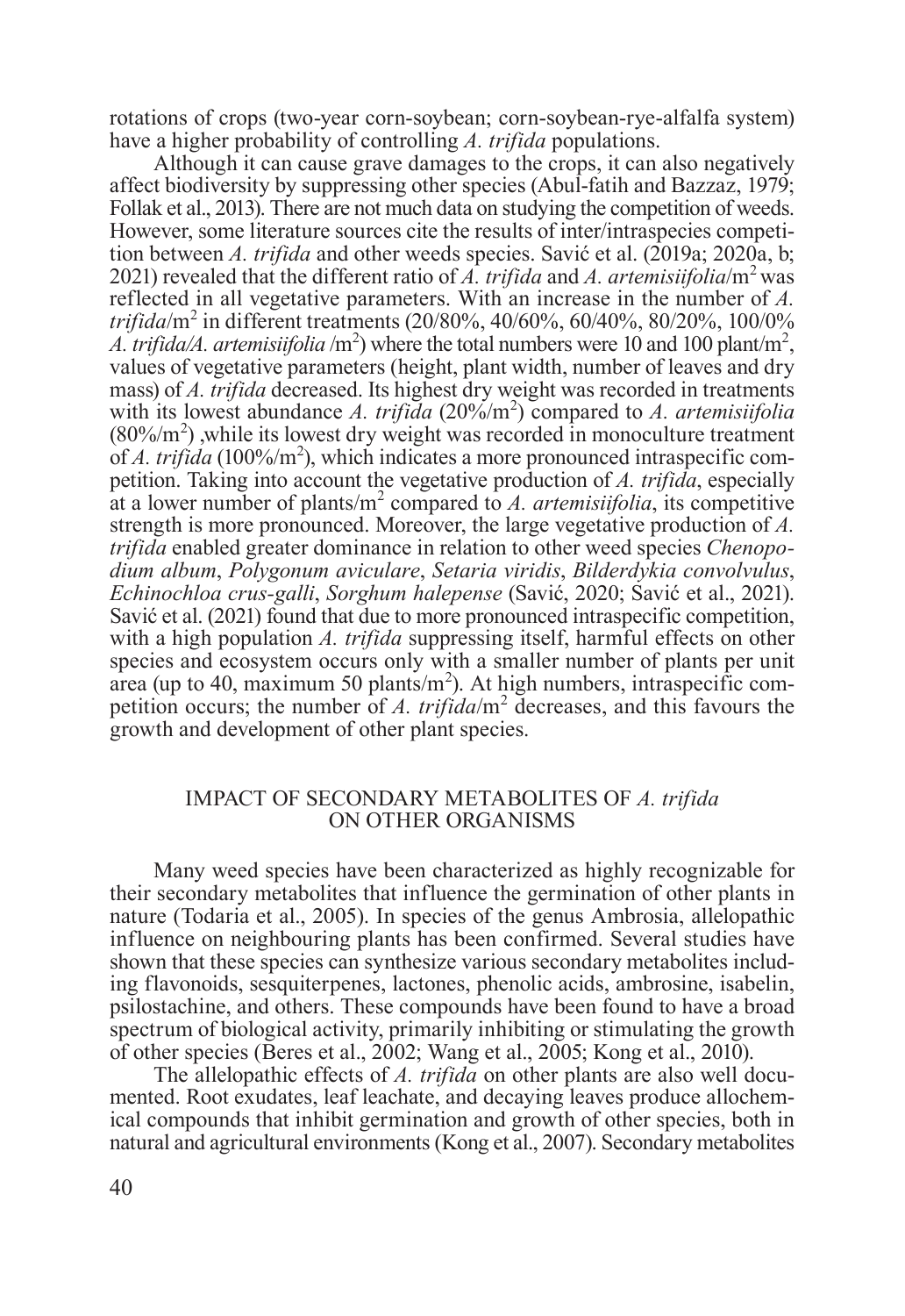rotations of crops (two-year corn-soybean; corn-soybean-rye-alfalfa system) have a higher probability of controlling *A. trifida* populations.

Although it can cause grave damages to the crops, it can also negatively affect biodiversity by suppressing other species (Abul-fatih and Bazzaz, 1979; Follak et al., 2013). There are not much data on studying the competition of weeds. However, some literature sources cite the results of inter/intraspecies competition between *A. trifida* and other weeds species. Savić et al. (2019a; 2020a, b; 2021) revealed that the different ratio of *A. trifida* and *A. artemisiifolia*/m2 was reflected in all vegetative parameters. With an increase in the number of *A. trifida*/m<sup>2</sup> in different treatments (20/80%, 40/60%, 60/40%, 80/20%, 100/0% *A. trifida/A. artemisiifolia* /m<sup>2</sup>) where the total numbers were 10 and 100 plant/m<sup>2</sup>, values of vegetative parameters (height, plant width, number of leaves and dry mass) of *A. trifida* decreased. Its highest dry weight was recorded in treatments with its lowest abundance *A. trifida* (20%/m<sup>2</sup> ) compared to *A. artemisiifolia*  $(80\%/m^2)$ , while its lowest dry weight was recorded in monoculture treatment of *A. triftda* (100%/m<sup>2</sup>), which indicates a more pronounced intraspecific competition. Taking into account the vegetative production of *A. trifida*, especially at a lower number of plants/m<sup>2</sup> compared to *A. artemisiifolia*, its competitive strength is more pronounced. Moreover, the large vegetative production of *A. trifida* enabled greater dominance in relation to other weed species *Chenopodium album*, *Polygonum aviculare*, *Setaria viridis*, *Bilderdykia convolvulus*, *Echinochloa crus-galli*, *Sorghum halepense* (Savić, 2020; Savić et al., 2021). Savić et al. (2021) found that due to more pronounced intraspecific competition, with a high population *A. trifida* suppressing itself, harmful effects on other species and ecosystem occurs only with a smaller number of plants per unit area (up to 40, maximum 50 plants/m<sup>2</sup>). At high numbers, intraspecific competition occurs; the number of *A. triftda*/ $m^2$  decreases, and this favours the growth and development of other plant species.

## IMPACT OF SECONDARY METABOLITES OF *A. trifida* ON OTHER ORGANISMS

Many weed species have been characterized as highly recognizable for their secondary metabolites that influence the germination of other plants in nature (Todaria et al., 2005). In species of the genus Ambrosia, allelopathic influence on neighbouring plants has been confirmed. Several studies have shown that these species can synthesize various secondary metabolites including flavonoids, sesquiterpenes, lactones, phenolic acids, ambrosine, isabelin, psilostachine, and others. These compounds have been found to have a broad spectrum of biological activity, primarily inhibiting or stimulating the growth of other species (Beres et al., 2002; Wang et al., 2005; Kong et al., 2010).

The allelopathic effects of *A. trifida* on other plants are also well documented. Root exudates, leaf leachate, and decaying leaves produce allochemical compounds that inhibit germination and growth of other species, both in natural and agricultural environments (Kong et al., 2007). Secondary metabolites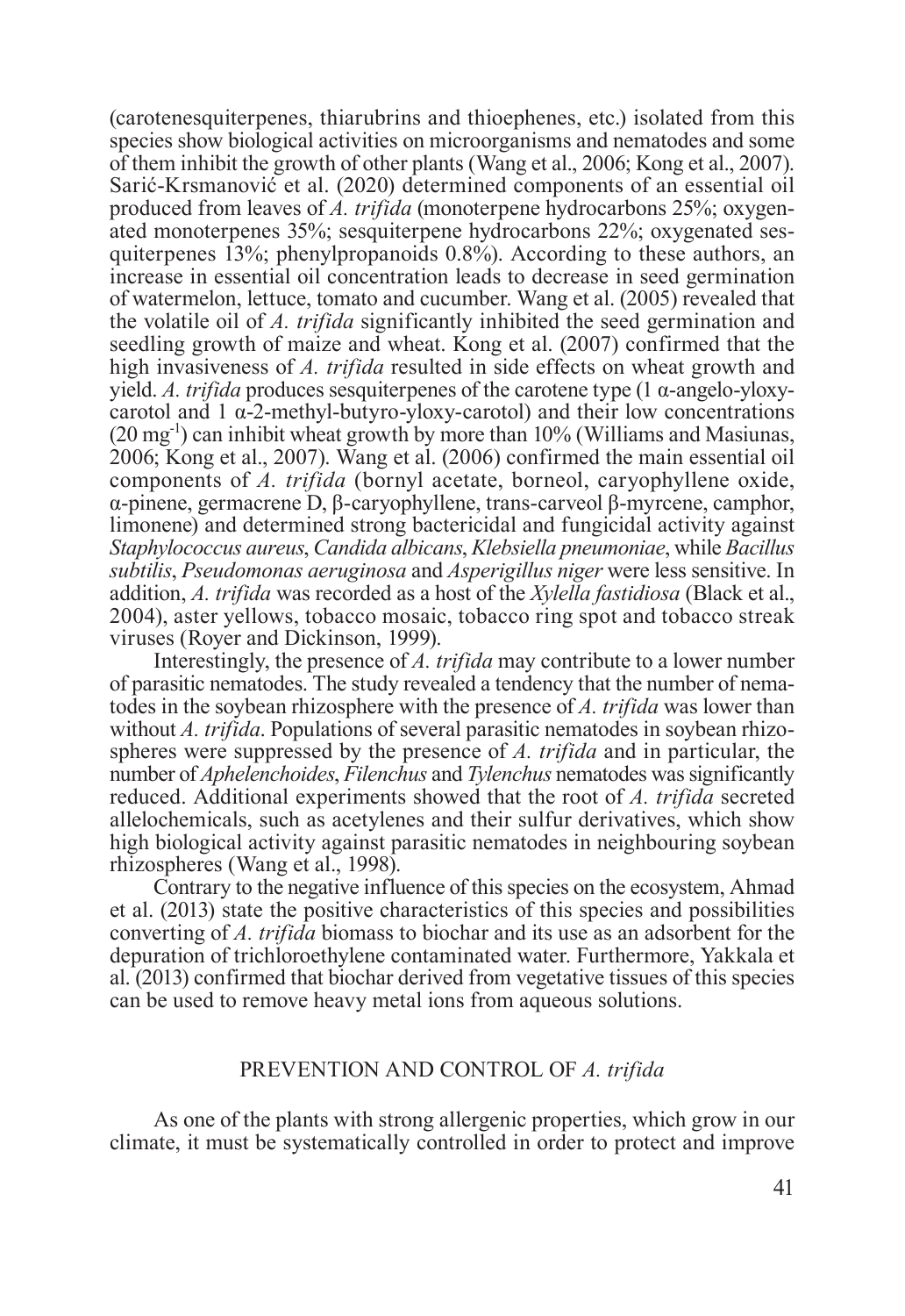(carotenesquiterpenes, thiarubrins and thioephenes, etc.) isolated from this species show biological activities on microorganisms and nematodes and some of them inhibit the growth of other plants (Wang et al., 2006; Kong et al., 2007). Sarić-Krsmanović et al. (2020) determined components of an essential oil produced from leaves of *A. trifida* (monoterpene hydrocarbons 25%; oxygenated monoterpenes 35%; sesquiterpene hydrocarbons 22%; oxygenated sesquiterpenes 13%; phenylpropanoids 0.8%). According to these authors, an increase in essential oil concentration leads to decrease in seed germination of watermelon, lettuce, tomato and cucumber. Wang et al. (2005) revealed that the volatile oil of *A. trifida* significantly inhibited the seed germination and seedling growth of maize and wheat. Kong et al. (2007) confirmed that the high invasiveness of *A. trifida* resulted in side effects on wheat growth and yield. *A. trifida* produces sesquiterpenes of the carotene type (1  $\alpha$ -angelo-yloxycarotol and  $1 \alpha$ -2-methyl-butyro-yloxy-carotol) and their low concentrations  $(20 \,\text{mg}^{-1})$  can inhibit wheat growth by more than  $10\%$  (Williams and Masiunas, 2006; Kong et al., 2007). Wang et al. (2006) confirmed the main essential oil components of *A. trifida* (bornyl acetate, borneol, caryophyllene oxide, α-pinene, germacrene D, β-caryophyllene, trans-carveol β-myrcene, camphor, limonene) and determined strong bactericidal and fungicidal activity against *Staphylococcus aureus*, *Candida albicans*, *Klebsiella pneumoniae*, while *Bacillus subtilis*, *Pseudomonas aeruginosa* and *Asperigillus niger* were less sensitive. In addition, *A. trifida* was recorded as a host of the *Xylella fastidiosa* (Black et al., 2004), aster yellows, tobacco mosaic, tobacco ring spot and tobacco streak viruses (Royer and Dickinson, 1999).

Interestingly, the presence of *A. trifida* may contribute to a lower number of parasitic nematodes. The study revealed a tendency that the number of nematodes in the soybean rhizosphere with the presence of *A. trifida* was lower than without *A. trifida*. Populations of several parasitic nematodes in soybean rhizospheres were suppressed by the presence of *A. trifida* and in particular, the number of *Aphelenchoides*, *Filenchus* and *Tylenchus* nematodes was significantly reduced. Additional experiments showed that the root of *A. trifida* secreted allelochemicals, such as acetylenes and their sulfur derivatives, which show high biological activity against parasitic nematodes in neighbouring soybean rhizospheres (Wang et al., 1998).

Contrary to the negative influence of this species on the ecosystem, Ahmad et al. (2013) state the positive characteristics of this species and possibilities converting of *A. trifida* biomass to biochar and its use as an adsorbent for the depuration of trichloroethylene contaminated water. Furthermore, Yakkala et al. (2013) confirmed that biochar derived from vegetative tissues of this species can be used to remove heavy metal ions from aqueous solutions.

### PREVENTION AND CONTROL OF *A. trifida*

As one of the plants with strong allergenic properties, which grow in our climate, it must be systematically controlled in order to protect and improve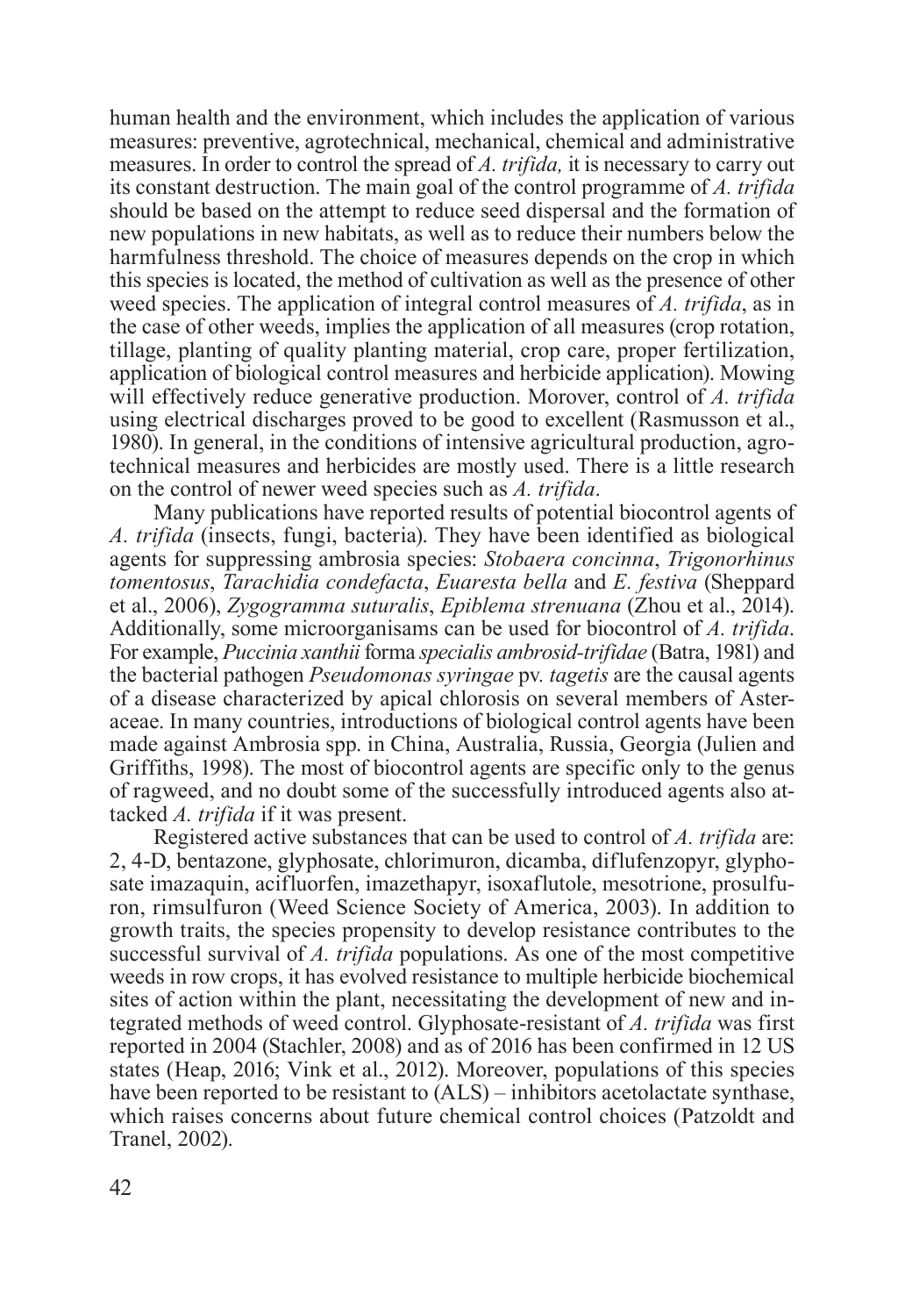human health and the environment, which includes the application of various measures: preventive, agrotechnical, mechanical, chemical and administrative measures. In order to control the spread of *A. trifida,* it is necessary to carry out its constant destruction. The main goal of the control programme of *A. trifida* should be based on the attempt to reduce seed dispersal and the formation of new populations in new habitats, as well as to reduce their numbers below the harmfulness threshold. The choice of measures depends on the crop in which this species is located, the method of cultivation as well as the presence of other weed species. The application of integral control measures of *A. trifida*, as in the case of other weeds, implies the application of all measures (crop rotation, tillage, planting of quality planting material, crop care, proper fertilization, application of biological control measures and herbicide application). Mowing will effectively reduce generative production. Morover, control of *A. trifida* using electrical discharges proved to be good to excellent (Rasmusson et al., 1980). In general, in the conditions of intensive agricultural production, agrotechnical measures and herbicides are mostly used. There is a little research on the control of newer weed species such as *A. trifida*.

Many publications have reported results of potential biocontrol agents of *A. trifida* (insects, fungi, bacteria). They have been identified as biological agents for suppressing ambrosia species: *Stobaera concinna*, *Trigonorhinus tomentosus*, *Tarachidia condefacta*, *Euaresta bella* and *E. festiva* (Sheppard et al., 2006), *Zygogramma suturalis*, *Epiblema strenuana* (Zhou et al., 2014). Additionally, some microorganisams can be used for biocontrol of *A. trifida*. For example, *Puccinia xanthii* forma *specialis ambrosid-trifidae* (Batra, 1981) and the bacterial pathogen *Pseudomonas syringae* pv*. tagetis* are the causal agents of a disease characterized by apical chlorosis on several members of Asteraceae. In many countries, introductions of biological control agents have been made against Ambrosia spp. in China, Australia, Russia, Georgia (Julien and Griffiths, 1998). The most of biocontrol agents are specific only to the genus of ragweed, and no doubt some of the successfully introduced agents also attacked *A. trifida* if it was present.

Registered active substances that can be used to control of *A. trifida* are: 2, 4-D, bentazone, glyphosate, chlorimuron, dicamba, diflufenzopyr, glyphosate imazaquin, acifluorfen, imazethapyr, isoxaflutole, mesotrione, prosulfuron, rimsulfuron (Weed Science Society of America, 2003). In addition to growth traits, the species propensity to develop resistance contributes to the successful survival of *A. trifida* populations. As one of the most competitive weeds in row crops, it has evolved resistance to multiple herbicide biochemical sites of action within the plant, necessitating the development of new and integrated methods of weed control. Glyphosate-resistant of *A. trifida* was first reported in 2004 (Stachler, 2008) and as of 2016 has been confirmed in 12 US states (Heap, 2016; Vink et al., 2012). Moreover, populations of this species have been reported to be resistant to (ALS) – inhibitors acetolactate synthase, which raises concerns about future chemical control choices (Patzoldt and Tranel, 2002).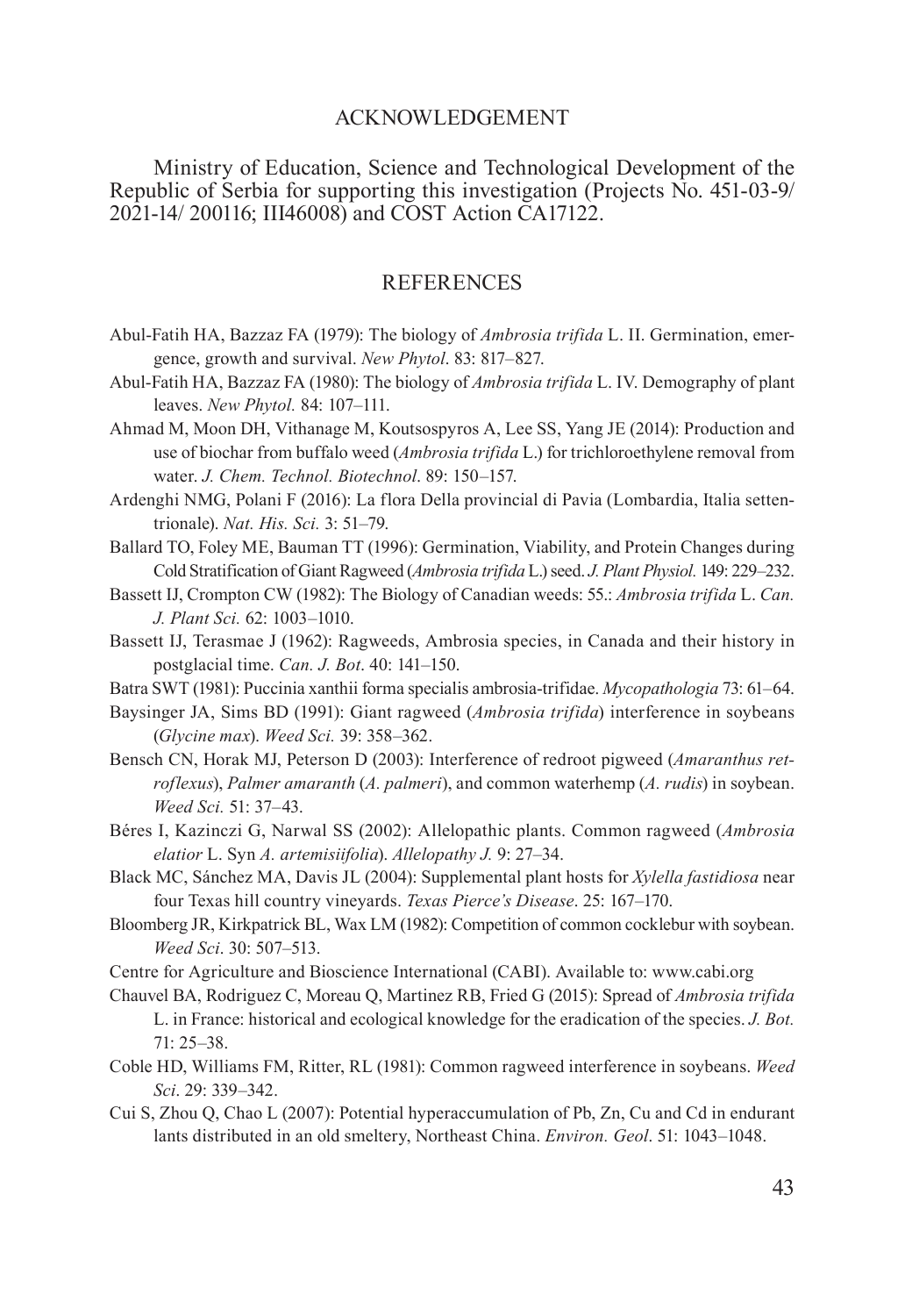## ACKNOWLEDGEMENT

Ministry of Education, Science and Technological Development of the Republic of Serbia for supporting this investigation (Projects No. 451-03-9/ 2021-14/ 200116; III46008) and COST Action CA17122.

#### REFERENCES

- Abul-Fatih HA, Bazzaz FA (1979): The biology of *Ambrosia trifida* L. II. Germination, emergence, growth and survival. *New Phytol*. 83: 817–827.
- Abul-Fatih HA, Bazzaz FA (1980): The biology of *Ambrosia trifida* L. IV. Demography of plant leaves. *New Phytol.* 84: 107–111.
- Ahmad M, Moon DH, Vithanage M, Koutsospyros A, Lee SS, Yang JE (2014): Production and use of biochar from buffalo weed (*Ambrosia trifida* L.) for trichloroethylene removal from water. *J. Chem. Technol. Biotechnol*. 89: 150–157.
- Ardenghi NMG, Polani F (2016): La flora Della provincial di Pavia (Lombardia, Italia settentrionale). *Nat. His. Sci.* 3: 51–79.
- Ballard TO, Foley ME, Bauman TT (1996): Germination, Viability, and Protein Changes during Cold Stratification of Giant Ragweed (*Ambrosia trifida* L.) seed. *J. Plant Physiol.* 149: 229–232.
- Bassett IJ, Crompton CW (1982): The Biology of Canadian weeds: 55.: *Ambrosia trifida* L. *Can. J. Plant Sci.* 62: 1003–1010.
- Bassett IJ, Terasmae J (1962): Ragweeds, Ambrosia species, in Canada and their history in postglacial time. *Can. J. Bot*. 40: 141–150.
- Batra SWT (1981): Puccinia xanthii forma specialis ambrosia-trifidae. *Mycopathologia* 73: 61–64.
- Baysinger JA, Sims BD (1991): Giant ragweed (*Ambrosia trifida*) interference in soybeans (*Glycine max*). *Weed Sci.* 39: 358–362.
- Bensch CN, Horak MJ, Peterson D (2003): Interference of redroot pigweed (*Amaranthus retroflexus*), *Palmer amaranth* (*A. palmeri*), and common waterhemp (*A. rudis*) in soybean. *Weed Sci.* 51: 37–43.
- Béres I, Kazinczi G, Narwal SS (2002): Allelopathic plants. Common ragweed (*Ambrosia elatior* L. Syn *A. artemisiifolia*). *Allelopathy J.* 9: 27–34.
- Black MC, Sánchez MA, Davis JL (2004): Supplemental plant hosts for *Xylella fastidiosa* near four Texas hill country vineyards. *Texas Pierce's Disease*. 25: 167–170.
- Bloomberg JR, Kirkpatrick BL, Wax LM (1982): Competition of common cocklebur with soybean. *Weed Sci*. 30: 507–513.
- Centre for Agriculture and Bioscience International (CABI). Available to: www.cabi.org
- Chauvel BA, Rodriguez C, Moreau Q, Martinez RB, Fried G (2015): Spread of *Ambrosia trifida* L. in France: historical and ecological knowledge for the eradication of the species. *J. Bot.* 71: 25–38.
- Coble HD, Williams FM, Ritter, RL (1981): Common ragweed interference in soybeans. *Weed Sci*. 29: 339–342.
- Cui S, Zhou Q, Chao L (2007): Potential hyperaccumulation of Pb, Zn, Cu and Cd in endurant lants distributed in an old smeltery, Northeast China. *Environ. Geol*. 51: 1043–1048.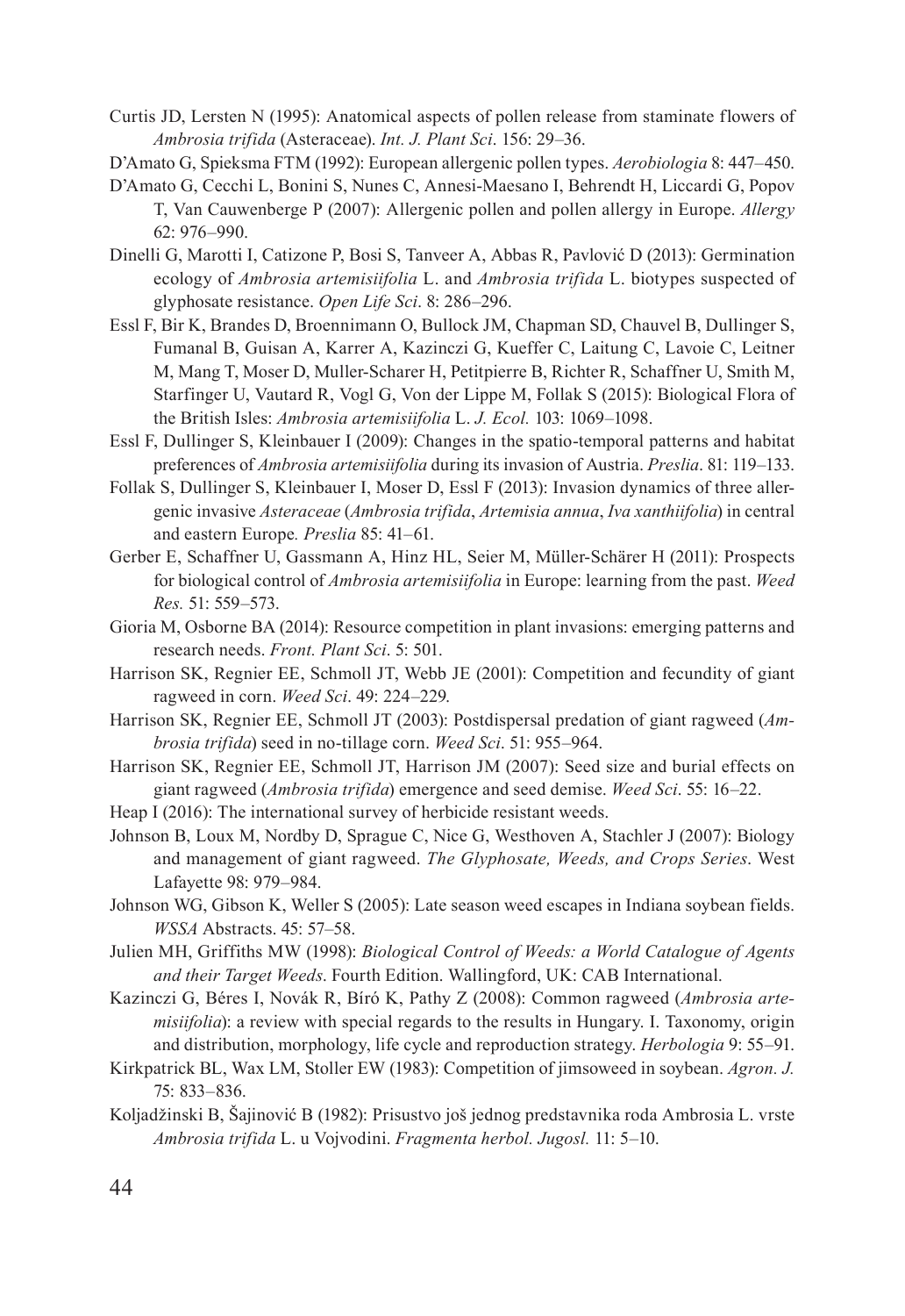Curtis JD, Lersten N (1995): Anatomical aspects of pollen release from staminate flowers of *Ambrosia trifida* (Asteraceae). *Int. J. Plant Sci*. 156: 29–36.

D'Amato G, Spieksma FTM (1992): European allergenic pollen types. *Aerobiologia* 8: 447–450.

- D'Amato G, Cecchi L, Bonini S, Nunes C, Annesi-Maesano I, Behrendt H, Liccardi G, Popov T, Van Cauwenberge P (2007): Allergenic pollen and pollen allergy in Europe. *Allergy* 62: 976–990.
- Dinelli G, Marotti I, Catizone P, Bosi S, Tanveer A, Abbas R, Pavlović D (2013): Germination ecology of *Ambrosia artemisiifolia* L. and *Ambrosia trifida* L. biotypes suspected of glyphosate resistance. *Open Life Sci*. 8: 286–296.
- Essl F, Bir K, Brandes D, Broennimann O, Bullock JM, Chapman SD, Chauvel B, Dullinger S, Fumanal B, Guisan A, Karrer A, Kazinczi G, Kueffer C, Laitung C, Lavoie C, Leitner M, Mang T, Moser D, Muller-Scharer H, Petitpierre B, Richter R, Schaffner U, Smith M, Starfinger U, Vautard R, Vogl G, Von der Lippe M, Follak S (2015): Biological Flora of the British Isles: *Ambrosia artemisiifolia* L. *J. Ecol.* 103: 1069–1098.
- Essl F, Dullinger S, Kleinbauer I (2009): Changes in the spatio-temporal patterns and habitat preferences of *Ambrosia artemisiifolia* during its invasion of Austria. *Preslia*. 81: 119–133.
- Follak S, Dullinger S, Kleinbauer I, Moser D, Essl F (2013): Invasion dynamics of three allergenic invasive *Asteraceae* (*Ambrosia trifida*, *Artemisia annua*, *Iva xanthiifolia*) in central and eastern Europe*. Preslia* 85: 41–61.
- Gerber E, Schaffner U, Gassmann A, Hinz HL, Seier M, Müller-Schärer H (2011): Prospects for biological control of *Ambrosia artemisiifolia* in Europe: learning from the past. *Weed Res.* 51: 559–573.
- Gioria M, Osborne BA (2014): Resource competition in plant invasions: emerging patterns and research needs. *Front. Plant Sci*. 5: 501.
- Harrison SK, Regnier EE, Schmoll JT, Webb JE (2001): Competition and fecundity of giant ragweed in corn. *Weed Sci*. 49: 224–229.
- Harrison SK, Regnier EE, Schmoll JT (2003): Postdispersal predation of giant ragweed (*Ambrosia trifida*) seed in no-tillage corn. *Weed Sci*. 51: 955–964.
- Harrison SK, Regnier EE, Schmoll JT, Harrison JM (2007): Seed size and burial effects on giant ragweed (*Ambrosia trifida*) emergence and seed demise. *Weed Sci*. 55: 16–22.
- Heap I (2016): The international survey of herbicide resistant weeds.
- Johnson B, Loux M, Nordby D, Sprague C, Nice G, Westhoven A, Stachler J (2007): Biology and management of giant ragweed. *The Glyphosate, Weeds, and Crops Series*. West Lafayette 98: 979–984.
- Johnson WG, Gibson K, Weller S (2005): Late season weed escapes in Indiana soybean fields. *WSSA* Abstracts. 45: 57–58.
- Julien MH, Griffiths MW (1998): *Biological Control of Weeds: a World Catalogue of Agents and their Target Weeds*. Fourth Edition. Wallingford, UK: CAB International.
- Kazinczi G, Béres I, Novák R, Bíró K, Pathy Z (2008): Common ragweed (*Ambrosia artemisiifolia*): a review with special regards to the results in Hungary. I. Taxonomy, origin and distribution, morphology, life cycle and reproduction strategy. *Herbologia* 9: 55–91.
- Kirkpatrick BL, Wax LM, Stoller EW (1983): Competition of jimsoweed in soybean. *Agron. J.*  75: 833–836.
- Koljadžinski B, Šajinović B (1982): Prisustvo još jednog predstavnika roda Ambrosia L. vrste *Ambrosia trifida* L. u Vojvodini. *Fragmenta herbol. Jugosl.* 11: 5–10.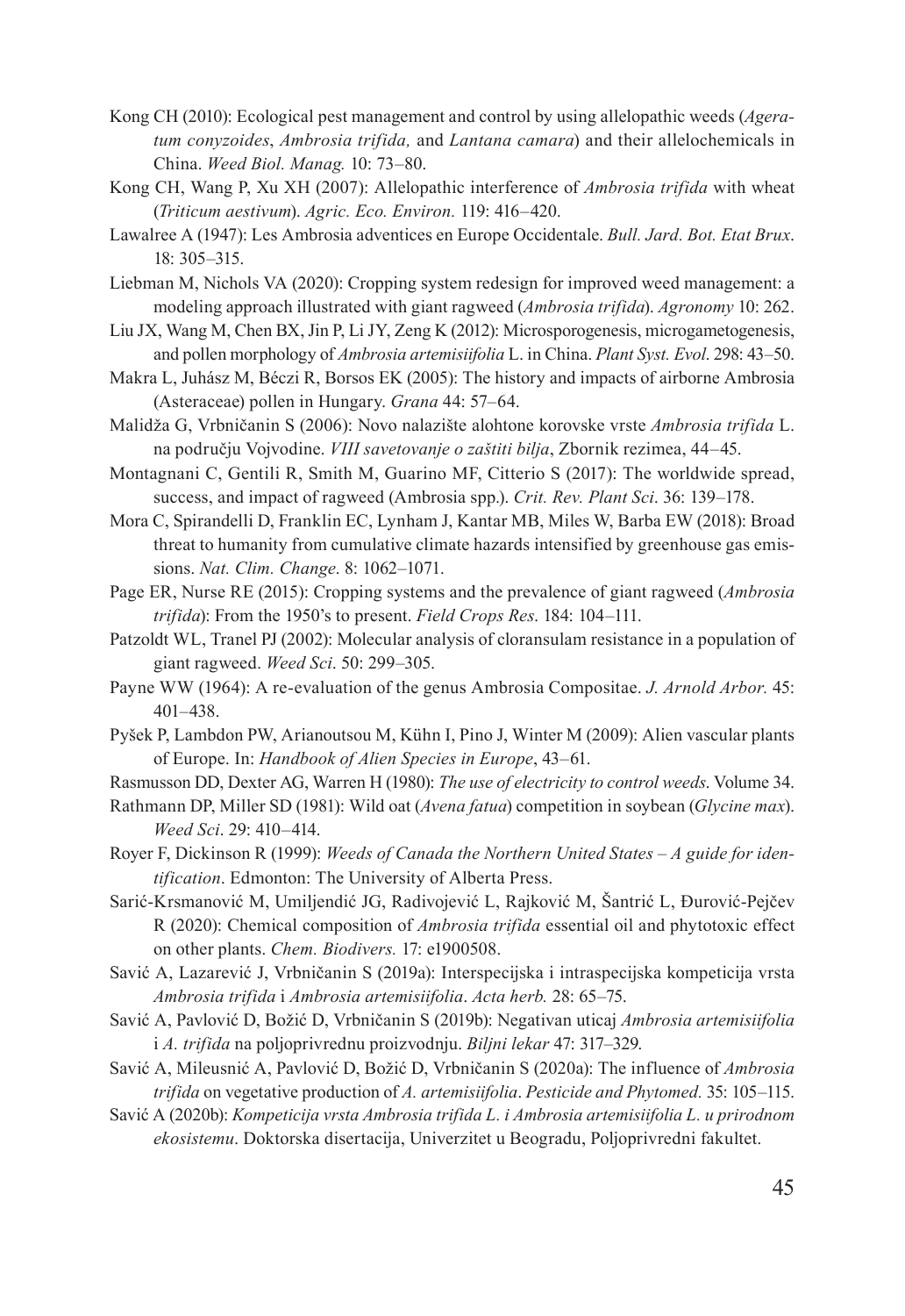- Kong CH (2010): Ecological pest management and control by using allelopathic weeds (*Ageratum conyzoides*, *Ambrosia trifida,* and *Lantana camara*) and their allelochemicals in China. *Weed Biol. Manag.* 10: 73–80.
- Kong CH, Wang P, Xu XH (2007): Allelopathic interference of *Ambrosia trifida* with wheat (*Triticum aestivum*). *Agric. Eco. Environ.* 119: 416–420.
- Lawalree A (1947): Les Ambrosia adventices en Europe Occidentale. *Bull. Jard. Bot. Etat Brux*. 18: 305–315.
- Liebman M, Nichols VA (2020): Cropping system redesign for improved weed management: a modeling approach illustrated with giant ragweed (*Ambrosia trifida*). *Agronomy* 10: 262.
- Liu JX, Wang M, Chen BX, Jin P, Li JY, Zeng K (2012): Microsporogenesis, microgametogenesis, and pollen morphology of *Ambrosia artemisiifolia* L. in China. *Plant Syst. Evol*. 298: 43–50.
- Makra L, Juhász M, Béczi R, Borsos EK (2005): The history and impacts of airborne Ambrosia (Asteraceae) pollen in Hungary. *Grana* 44: 57–64.
- Malidža G, Vrbničanin S (2006): Novo nalazište alohtone korovske vrste *Ambrosia trifida* L. na području Vojvodine. *VIII savetovanje o zaštiti bilja*, Zbornik rezimea, 44–45.
- Montagnani C, Gentili R, Smith M, Guarino MF, Citterio S (2017): The worldwide spread, success, and impact of ragweed (Ambrosia spp.). *Crit. Rev. Plant Sci*. 36: 139–178.
- Mora C, Spirandelli D, Franklin EC, Lynham J, Kantar MB, Miles W, Barba EW (2018): Broad threat to humanity from cumulative climate hazards intensified by greenhouse gas emissions. *Nat. Clim. Change*. 8: 1062–1071.
- Page ER, Nurse RE (2015): Cropping systems and the prevalence of giant ragweed (*Ambrosia trifida*): From the 1950's to present. *Field Crops Res*. 184: 104–111.
- Patzoldt WL, Tranel PJ (2002): Molecular analysis of cloransulam resistance in a population of giant ragweed. *Weed Sci*. 50: 299–305.
- Payne WW (1964): A re-evaluation of the genus Ambrosia Compositae. *J. Arnold Arbor.* 45: 401–438.
- Pyšek P, Lambdon PW, Arianoutsou M, Kühn I, Pino J, Winter M (2009): Alien vascular plants of Europe. In: *Handbook of Alien Species in Europe*, 43–61.
- Rasmusson DD, Dexter AG, Warren H (1980): *The use of electricity to control weeds*. Volume 34.
- Rathmann DP, Miller SD (1981): Wild oat (*Avena fatua*) competition in soybean (*Glycine max*). *Weed Sci*. 29: 410–414.
- Royer F, Dickinson R (1999): *Weeds of Canada the Northern United States A guide for identification*. Edmonton: The University of Alberta Press.
- Sarić-Krsmanović M, Umiljendić JG, Radivojević L, Rajković M, Šantrić L, Đurović-Pejčev R (2020): Chemical composition of *Ambrosia trifida* essential oil and phytotoxic effect on other plants. *Chem. Biodivers.* 17: e1900508.
- Savić A, Lazarević J, Vrbničanin S (2019a): Interspecijska i intraspecijska kompeticija vrsta *Ambrosia trifida* i *Ambrosia artemisiifolia*. *Acta herb.* 28: 65–75.
- Savić A, Pavlović D, Božić D, Vrbničanin S (2019b): Negativan uticaj *Ambrosia artemisiifolia*  i *A. trifida* na poljoprivrednu proizvodnju. *Biljni lekar* 47: 317–329.
- Savić A, Mileusnić A, Pavlović D, Božić D, Vrbničanin S (2020a): The influence of *Ambrosia trifida* on vegetative production of *A. artemisiifolia*. *Pesticide and Phytomed.* 35: 105–115.
- Savić A (2020b): *Kompeticija vrsta Ambrosia trifida L. i Ambrosia artemisiifolia L. u prirodnom ekosistemu*. Doktorska disertacija, Univerzitet u Beogradu, Poljoprivredni fakultet.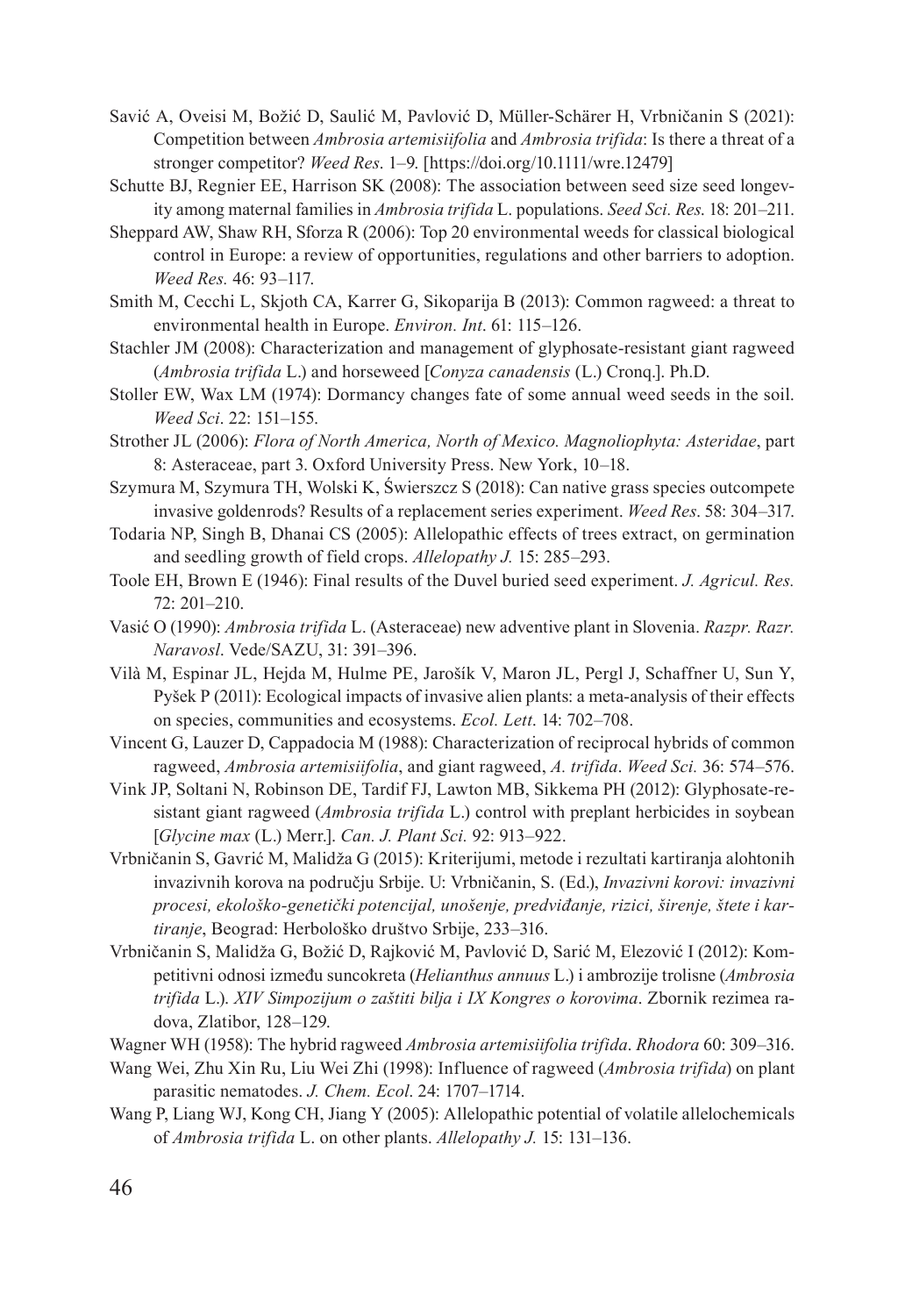- Savić A, Oveisi M, Božić D, Saulić M, Pavlović D, Müller-Schärer H, Vrbničanin S (2021): Competition between *Ambrosia artemisiifolia* and *Ambrosia trifida*: Is there a threat of a stronger competitor? *Weed Res*. 1–9. [https://doi.org/10.1111/wre.12479]
- Schutte BJ, Regnier EE, Harrison SK (2008): The association between seed size seed longevity among maternal families in *Ambrosia trifida* L. populations. *Seed Sci. Res*. 18: 201–211.
- Sheppard AW, Shaw RH, Sforza R (2006): Top 20 environmental weeds for classical biological control in Europe: a review of opportunities, regulations and other barriers to adoption. *Weed Res.* 46: 93–117.
- Smith M, Cecchi L, Skjoth CA, Karrer G, Sikoparija B (2013): Common ragweed: a threat to environmental health in Europe. *Environ. Int*. 61: 115–126.
- Stachler JM (2008): Characterization and management of glyphosate-resistant giant ragweed (*Ambrosia trifida* L.) and horseweed [*Conyza canadensis* (L.) Cronq.]. Ph.D.
- Stoller EW, Wax LM (1974): Dormancy changes fate of some annual weed seeds in the soil. *Weed Sci*. 22: 151–155.
- Strother JL (2006): *Flora of North America, North of Mexico. Magnoliophyta: Asteridae*, part 8: Asteraceae, part 3. Oxford University Press. New York, 10–18.
- Szymura M, Szymura TH, Wolski K, Świerszcz S (2018): Can native grass species outcompete invasive goldenrods? Results of a replacement series experiment. *Weed Res*. 58: 304–317.
- Todaria NP, Singh B, Dhanai CS (2005): Allelopathic effects of trees extract, on germination and seedling growth of field crops. *Allelopathy J.* 15: 285–293.
- Toole EH, Brown E (1946): Final results of the Duvel buried seed experiment. *J. Agricul. Res.* 72: 201–210.
- Vasić O (1990): *Ambrosia trifida* L. (Asteraceae) new adventive plant in Slovenia. *Razpr. Razr. Naravosl*. Vede/SAZU, 31: 391–396.
- Vilà M, Espinar JL, Hejda M, Hulme PE, Jarošík V, Maron JL, Pergl J, Schaffner U, Sun Y, Pyšek P (2011): Ecological impacts of invasive alien plants: a meta-analysis of their effects on species, communities and ecosystems. *Ecol. Lett*. 14: 702–708.
- Vincent G, Lauzer D, Cappadocia M (1988): Characterization of reciprocal hybrids of common ragweed, *Ambrosia artemisiifolia*, and giant ragweed, *A. trifida*. *Weed Sci.* 36: 574–576.
- Vink JP, Soltani N, Robinson DE, Tardif FJ, Lawton MB, Sikkema PH (2012): Glyphosate-resistant giant ragweed (*Ambrosia trifida* L.) control with preplant herbicides in soybean [*Glycine max* (L.) Merr.]. *Can. J. Plant Sci.* 92: 913–922.
- Vrbničanin S, Gavrić M, Malidža G (2015): Kriterijumi, metode i rezultati kartiranja alohtonih invazivnih korova na području Srbije. U: Vrbničanin, S. (Ed.), *Invazivni korovi: invazivni procesi, ekološko-genetički potencijal, unošenje, predviđanje, rizici, širenje, štete i kartiranje*, Beograd: Herbološko društvo Srbije, 233–316.
- Vrbničanin S, Malidža G, Božić D, Rajković M, Pavlović D, Sarić M, Elezović I (2012): Kompetitivni odnosi između suncokreta (*Helianthus annuus* L.) i ambrozije trolisne (*Ambrosia trifida* L.). *XIV Simpozijum o zaštiti bilja i IX Kongres o korovima*. Zbornik rezimea radova, Zlatibor, 128–129.
- Wagner WH (1958): The hybrid ragweed *Ambrosia artemisiifolia trifida*. *Rhodora* 60: 309–316.
- Wang Wei, Zhu Xin Ru, Liu Wei Zhi (1998): Influence of ragweed (*Ambrosia trifida*) on plant parasitic nematodes. *J. Chem. Ecol*. 24: 1707–1714.
- Wang P, Liang WJ, Kong CH, Jiang Y (2005): Allelopathic potential of volatile allelochemicals of *Ambrosia trifida* L. on other plants. *Allelopathy J.* 15: 131–136.